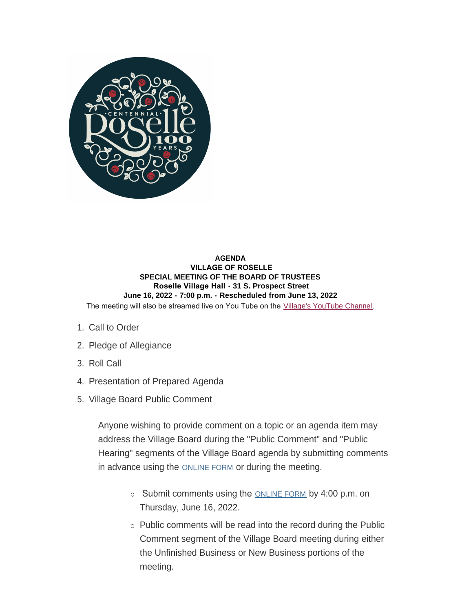

### **AGENDA VILLAGE OF ROSELLE SPECIAL MEETING OF THE BOARD OF TRUSTEES Roselle Village Hall - 31 S. Prospect Street June 16, 2022 - 7:00 p.m. - Rescheduled from June 13, 2022** The meeting will also be streamed live on You Tube on the [Village's YouTube Channel](https://www.youtube.com/user/villageofroselle).

- 1. Call to Order
- 2. Pledge of Allegiance
- 3. Roll Call
- 4. Presentation of Prepared Agenda
- 5. Village Board Public Comment

Anyone wishing to provide comment on a topic or an agenda item may address the Village Board during the "Public Comment" and "Public Hearing" segments of the Village Board agenda by submitting comments in advance using the **[ONLINE FORM](https://www.roselle.il.us/FormCenter/Village-Board-Forms-13/Village-Board-Meeting-Public-Participati-75)** or during the meeting.

- Submit comments using the **[ONLINE FORM](https://www.roselle.il.us/FormCenter/Village-Board-Forms-13/Village-Board-Meeting-Public-Participati-75)** by 4:00 p.m. on Thursday, June 16, 2022.
- $\circ$  Public comments will be read into the record during the Public Comment segment of the Village Board meeting during either the Unfinished Business or New Business portions of the meeting.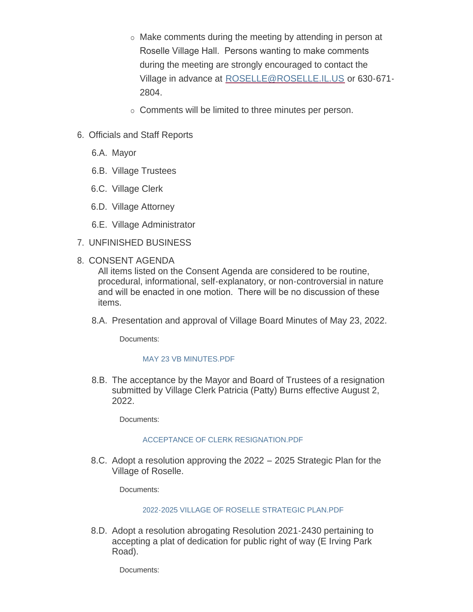- $\circ$  Make comments during the meeting by attending in person at Roselle Village Hall. Persons wanting to make comments during the meeting are strongly encouraged to contact the Village in advance at [ROSELLE@ROSELLE.IL.US](mailto:roselle@roselle.il.us) or 630-671- 2804.
- o Comments will be limited to three minutes per person.
- 6. Officials and Staff Reports
	- 6.A. Mayor
	- 6.B. Village Trustees
	- 6.C. Village Clerk
	- 6.D. Village Attorney
	- 6.E. Village Administrator
- UNFINISHED BUSINESS 7.
- 8. CONSENT AGENDA

All items listed on the Consent Agenda are considered to be routine, procedural, informational, self-explanatory, or non-controversial in nature and will be enacted in one motion. There will be no discussion of these items.

8.A. Presentation and approval of Village Board Minutes of May 23, 2022.

Documents:

# [MAY 23 VB MINUTES.PDF](https://www.roselle.il.us/AgendaCenter/ViewFile/Item/5355?fileID=6017)

8.B. The acceptance by the Mayor and Board of Trustees of a resignation submitted by Village Clerk Patricia (Patty) Burns effective August 2, 2022.

Documents:

# ACCEPTANCE OF CLERK RESIGNATION PDF

8.C. Adopt a resolution approving the 2022 – 2025 Strategic Plan for the Village of Roselle.

Documents:

# [2022-2025 VILLAGE OF ROSELLE STRATEGIC PLAN.PDF](https://www.roselle.il.us/AgendaCenter/ViewFile/Item/5357?fileID=6019)

8.D. Adopt a resolution abrogating Resolution 2021-2430 pertaining to accepting a plat of dedication for public right of way (E Irving Park Road).

Documents: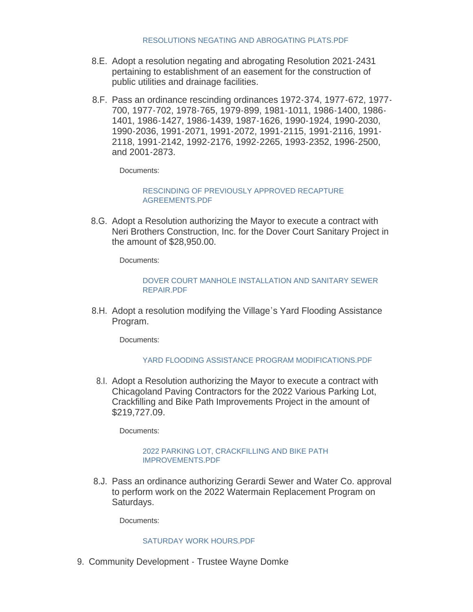- 8.E. Adopt a resolution negating and abrogating Resolution 2021-2431 pertaining to establishment of an easement for the construction of public utilities and drainage facilities.
- 8.F. Pass an ordinance rescinding ordinances 1972-374, 1977-672, 1977-700, 1977-702, 1978-765, 1979-899, 1981-1011, 1986-1400, 1986- 1401, 1986-1427, 1986-1439, 1987-1626, 1990-1924, 1990-2030, 1990-2036, 1991-2071, 1991-2072, 1991-2115, 1991-2116, 1991- 2118, 1991-2142, 1992-2176, 1992-2265, 1993-2352, 1996-2500, and 2001-2873.

Documents:

## [RESCINDING OF PREVIOUSLY APPROVED RECAPTURE](https://www.roselle.il.us/AgendaCenter/ViewFile/Item/5360?fileID=6021)  AGREEMENTS.PDF

8.G. Adopt a Resolution authorizing the Mayor to execute a contract with Neri Brothers Construction, Inc. for the Dover Court Sanitary Project in the amount of \$28,950.00.

Documents:

#### [DOVER COURT MANHOLE INSTALLATION AND SANITARY SEWER](https://www.roselle.il.us/AgendaCenter/ViewFile/Item/5361?fileID=6022)  REPAIR.PDF

8.H. Adopt a resolution modifying the Village's Yard Flooding Assistance Program.

Documents:

## [YARD FLOODING ASSISTANCE PROGRAM MODIFICATIONS.PDF](https://www.roselle.il.us/AgendaCenter/ViewFile/Item/5362?fileID=6023)

8.I. Adopt a Resolution authorizing the Mayor to execute a contract with Chicagoland Paving Contractors for the 2022 Various Parking Lot, Crackfilling and Bike Path Improvements Project in the amount of \$219,727.09.

Documents:

#### [2022 PARKING LOT, CRACKFILLING AND BIKE PATH](https://www.roselle.il.us/AgendaCenter/ViewFile/Item/5363?fileID=6024)  IMPROVEMENTS.PDF

8.J. Pass an ordinance authorizing Gerardi Sewer and Water Co. approval to perform work on the 2022 Watermain Replacement Program on Saturdays.

Documents:

## [SATURDAY WORK HOURS.PDF](https://www.roselle.il.us/AgendaCenter/ViewFile/Item/5364?fileID=6025)

9. Community Development - Trustee Wayne Domke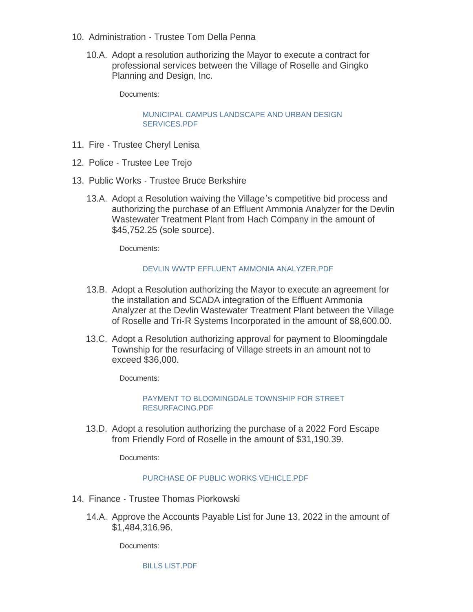- 10. Administration Trustee Tom Della Penna
	- 10.A. Adopt a resolution authorizing the Mayor to execute a contract for professional services between the Village of Roselle and Gingko Planning and Design, Inc.

Documents:

[MUNICIPAL CAMPUS LANDSCAPE AND URBAN DESIGN](https://www.roselle.il.us/AgendaCenter/ViewFile/Item/5367?fileID=6026)  SERVICES.PDF

- 11. Fire Trustee Cheryl Lenisa
- 12. Police Trustee Lee Trejo
- 13. Public Works Trustee Bruce Berkshire
	- 13.A. Adopt a Resolution waiving the Village's competitive bid process and authorizing the purchase of an Effluent Ammonia Analyzer for the Devlin Wastewater Treatment Plant from Hach Company in the amount of \$45,752.25 (sole source).

Documents:

#### [DEVLIN WWTP EFFLUENT AMMONIA ANALYZER.PDF](https://www.roselle.il.us/AgendaCenter/ViewFile/Item/5371?fileID=6027)

- 13.B. Adopt a Resolution authorizing the Mayor to execute an agreement for the installation and SCADA integration of the Effluent Ammonia Analyzer at the Devlin Wastewater Treatment Plant between the Village of Roselle and Tri-R Systems Incorporated in the amount of \$8,600.00.
- 13.C. Adopt a Resolution authorizing approval for payment to Bloomingdale Township for the resurfacing of Village streets in an amount not to exceed \$36,000.

Documents:

PAYMENT TO BLOOMINGDALE TOWNSHIP FOR STREET RESURFACING.PDF

13.D. Adopt a resolution authorizing the purchase of a 2022 Ford Escape from Friendly Ford of Roselle in the amount of \$31,190.39.

Documents:

## PURCHASE OF PUBLIC WORKS VEHICLE PDF

- 14. Finance Trustee Thomas Piorkowski
	- 14.A. Approve the Accounts Payable List for June 13, 2022 in the amount of \$1,484,316.96.

Documents:

[BILLS LIST.PDF](https://www.roselle.il.us/AgendaCenter/ViewFile/Item/5376?fileID=6030)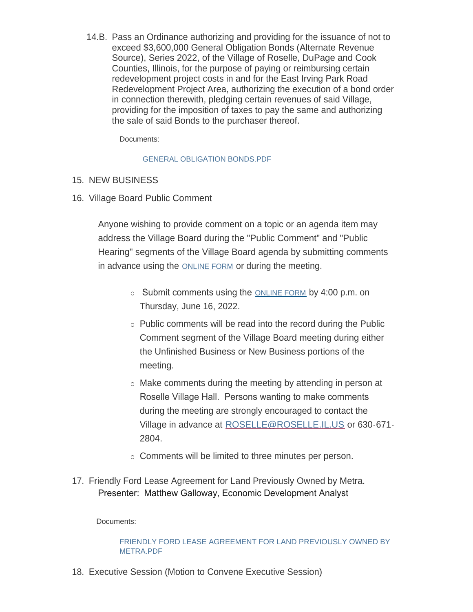14.B. Pass an Ordinance authorizing and providing for the issuance of not to exceed \$3,600,000 General Obligation Bonds (Alternate Revenue Source), Series 2022, of the Village of Roselle, DuPage and Cook Counties, Illinois, for the purpose of paying or reimbursing certain redevelopment project costs in and for the East Irving Park Road Redevelopment Project Area, authorizing the execution of a bond order in connection therewith, pledging certain revenues of said Village, providing for the imposition of taxes to pay the same and authorizing the sale of said Bonds to the purchaser thereof.

Documents:

# [GENERAL OBLIGATION BONDS.PDF](https://www.roselle.il.us/AgendaCenter/ViewFile/Item/5385?fileID=6033)

# 15. NEW BUSINESS

16. Village Board Public Comment

Anyone wishing to provide comment on a topic or an agenda item may address the Village Board during the "Public Comment" and "Public Hearing" segments of the Village Board agenda by submitting comments in advance using the [ONLINE FORM](https://www.roselle.il.us/FormCenter/Village-Board-Forms-13/Village-Board-Meeting-Public-Participati-75) or during the meeting.

- $\circ$  Submit comments using the [ONLINE FORM](https://www.roselle.il.us/FormCenter/Village-Board-Forms-13/Village-Board-Meeting-Public-Participati-75) by 4:00 p.m. on Thursday, June 16, 2022.
- $\circ$  Public comments will be read into the record during the Public Comment segment of the Village Board meeting during either the Unfinished Business or New Business portions of the meeting.
- $\circ$  Make comments during the meeting by attending in person at Roselle Village Hall. Persons wanting to make comments during the meeting are strongly encouraged to contact the Village in advance at [ROSELLE@ROSELLE.IL.US](mailto:roselle@roselle.il.us) or 630-671- 2804.
- o Comments will be limited to three minutes per person.
- 17. Friendly Ford Lease Agreement for Land Previously Owned by Metra. Presenter: Matthew Galloway, Economic Development Analyst

Documents:

# [FRIENDLY FORD LEASE AGREEMENT FOR LAND PREVIOUSLY OWNED BY](https://www.roselle.il.us/AgendaCenter/ViewFile/Item/5379?fileID=6032)  METRA.PDF

Executive Session (Motion to Convene Executive Session) 18.